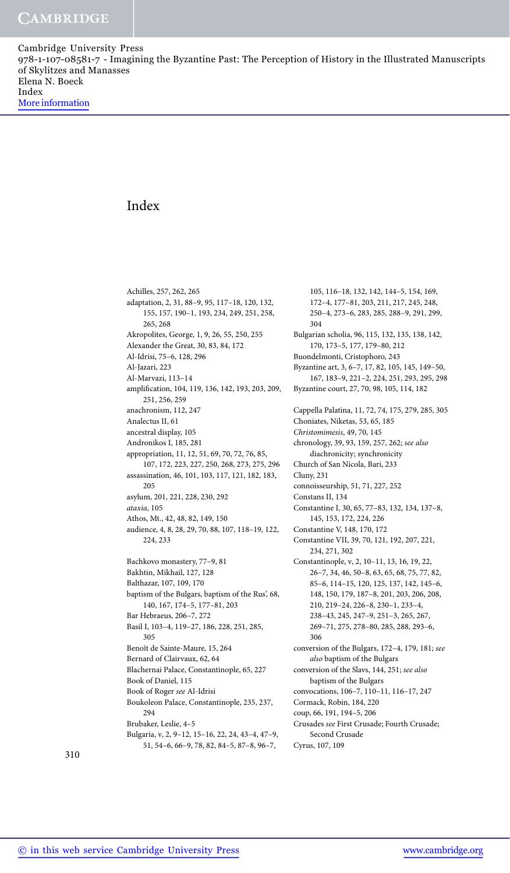## Index

Achilles, 257, 262, 265 adaptation, 2, 31, 88–9, 95, 117–18, 120, 132, 155, 157, 190–1, 193, 234, 249, 251, 258, 265, 268 Akropolites, George, 1, 9, 26, 55, 250, 255 Alexander the Great, 30, 83, 84, 172 Al-Idrisi, 75–6, 128, 296 Al-Jazari, 223 Al-Marvazi, 113–14 amplification, 104, 119, 136, 142, 193, 203, 209, 251, 256, 259 anachronism, 112, 247 Analectus II, 61 ancestral display, 105 Andronikos I, 185, 281 appropriation, 11, 12, 51, 69, 70, 72, 76, 85, 107, 172, 223, 227, 250, 268, 273, 275, 296 assassination, 46, 101, 103, 117, 121, 182, 183, 205 asylum, 201, 221, 228, 230, 292 *ataxia*, 105 Athos, Mt., 42, 48, 82, 149, 150 audience, 4, 8, 28, 29, 70, 88, 107, 118–19, 122, 224, 233 Bachkovo monastery, 77–9, 81 Bakhtin, Mikhail, 127, 128 Balthazar, 107, 109, 170 baptism of the Bulgars, baptism of the Rus', 68, 140, 167, 174–5, 177–81, 203 Bar Hebraeus, 206–7, 272 Basil I, 103–4, 119–27, 186, 228, 251, 285, 305 Benoît de Sainte-Maure, 15, 264 Bernard of Clairvaux, 62, 64 Blachernai Palace, Constantinople, 65, 227 Book of Daniel, 115 Book of Roger *see* Al-Idrisi Boukoleon Palace, Constantinople, 235, 237, 294 Brubaker, Leslie, 4–5 Bulgaria, v, 2, 9–12, 15–16, 22, 24, 43–4, 47–9, 51, 54–6, 66–9, 78, 82, 84–5, 87–8, 96–7,

105, 116–18, 132, 142, 144–5, 154, 169, 172–4, 177–81, 203, 211, 217, 245, 248, 250–4, 273–6, 283, 285, 288–9, 291, 299, 304 Bulgarian scholia, 96, 115, 132, 135, 138, 142, 170, 173–5, 177, 179–80, 212 Buondelmonti, Cristophoro, 243 Byzantine art, 3, 6–7, 17, 82, 105, 145, 149–50, 167, 183–9, 221–2, 224, 251, 293, 295, 298 Byzantine court, 27, 70, 98, 105, 114, 182 Cappella Palatina, 11, 72, 74, 175, 279, 285, 305 Choniates, Niketas, 53, 65, 185 *Christomimesis*, 49, 70, 145 chronology, 39, 93, 159, 257, 262; *see also* diachronicity; synchronicity Church of San Nicola, Bari, 233 Cluny, 231 connoisseurship, 51, 71, 227, 252 Constans II, 134 Constantine I, 30, 65, 77–83, 132, 134, 137–8, 145, 153, 172, 224, 226 Constantine V, 148, 170, 172 Constantine VII, 39, 70, 121, 192, 207, 221, 234, 271, 302 Constantinople, v, 2, 10–11, 13, 16, 19, 22, 26–7, 34, 46, 50–8, 63, 65, 68, 75, 77, 82, 85–6, 114–15, 120, 125, 137, 142, 145–6, 148, 150, 179, 187–8, 201, 203, 206, 208, 210, 219–24, 226–8, 230–1, 233–4, 238–43, 245, 247–9, 251–3, 265, 267, 269–71, 275, 278–80, 285, 288, 293–6, 306 conversion of the Bulgars, 172–4, 179, 181; *see also* baptism of the Bulgars conversion of the Slavs, 144, 251; *see also* baptism of the Bulgars convocations, 106–7, 110–11, 116–17, 247 Cormack, Robin, 184, 220 coup, 66, 191, 194–5, 206 Crusades *see* First Crusade; Fourth Crusade; Second Crusade Cyrus, 107, 109

310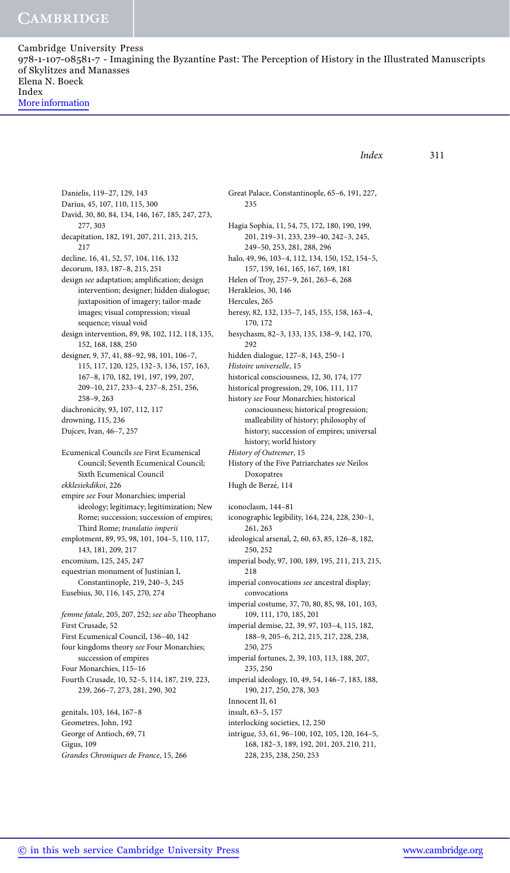*Index* 311 Danielis, 119–27, 129, 143 Darius, 45, 107, 110, 115, 300 David, 30, 80, 84, 134, 146, 167, 185, 247, 273, 277, 303 decapitation, 182, 191, 207, 211, 213, 215, 217 decline, 16, 41, 52, 57, 104, 116, 132 decorum, 183, 187–8, 215, 251 design *see* adaptation; amplification; design intervention; designer; hidden dialogue; juxtaposition of imagery; tailor-made images; visual compression; visual sequence; visual void design intervention, 89, 98, 102, 112, 118, 135, 152, 168, 188, 250 designer, 9, 37, 41, 88–92, 98, 101, 106–7, 115, 117, 120, 125, 132–3, 136, 157, 163, 167–8, 170, 182, 191, 197, 199, 207, 209–10, 217, 233–4, 237–8, 251, 256, 258–9, 263 diachronicity, 93, 107, 112, 117 drowning, 115, 236 Dujcev, Ivan, 46–7, 257 Ecumenical Councils *see* First Ecumenical Council; Seventh Ecumenical Council; Sixth Ecumenical Council *ekklesiekdikoi*, 226 empire *see* Four Monarchies; imperial ideology; legitimacy; legitimization; New Rome; succession; succession of empires; Third Rome; *translatio imperii* emplotment, 89, 95, 98, 101, 104–5, 110, 117, 143, 181, 209, 217 encomium, 125, 245, 247 equestrian monument of Justinian I, Constantinople, 219, 240–3, 245 Eusebius, 30, 116, 145, 270, 274 *femme fatale*, 205, 207, 252; *see also* Theophano First Crusade, 52 First Ecumenical Council, 136–40, 142 four kingdoms theory *see* Four Monarchies; succession of empires Four Monarchies, 115–16 Fourth Crusade, 10, 52–5, 114, 187, 219, 223, 239, 266–7, 273, 281, 290, 302 genitals, 103, 164, 167–8 Geometres, John, 192 George of Antioch, 69, 71 Gigus, 109 *Grandes Chroniques de France*, 15, 266 Great Palace, Constantinople, 65–6, 191, 227, 235 Hagia Sophia, 11, 54, 75, 172, 180, 190, 199, 201, 219–31, 233, 239–40, 242–3, 245, 249–50, 253, 281, 288, 296 halo, 49, 96, 103–4, 112, 134, 150, 152, 154–5, 157, 159, 161, 165, 167, 169, 181 Helen of Troy, 257–9, 261, 263–6, 268 Herakleios, 30, 146 Hercules, 265 heresy, 82, 132, 135–7, 145, 155, 158, 163–4, 170, 172 hesychasm, 82–3, 133, 135, 138–9, 142, 170, 292 hidden dialogue, 127–8, 143, 250–1 *Histoire universelle*, 15 historical consciousness, 12, 30, 174, 177 historical progression, 29, 106, 111, 117 history *see* Four Monarchies; historical consciousness; historical progression; malleability of history; philosophy of history; succession of empires; universal history; world history *History of Outremer*, 15 History of the Five Patriarchates *see* Neilos Doxopatres Hugh de Berzé, 114 iconoclasm, 144–81 iconographic legibility, 164, 224, 228, 230–1, 261, 263 ideological arsenal, 2, 60, 63, 85, 126–8, 182, 250, 252 imperial body, 97, 100, 189, 195, 211, 213, 215, 218 imperial convocations *see* ancestral display; convocations imperial costume, 37, 70, 80, 85, 98, 101, 103, 109, 111, 170, 185, 201 imperial demise, 22, 39, 97, 103–4, 115, 182, 188–9, 205–6, 212, 215, 217, 228, 238, 250, 275 imperial fortunes, 2, 39, 103, 113, 188, 207, 235, 250 imperial ideology, 10, 49, 54, 146–7, 183, 188, 190, 217, 250, 278, 303 Innocent II, 61 insult, 63–5, 157 interlocking societies, 12, 250 intrigue, 53, 61, 96–100, 102, 105, 120, 164–5, 168, 182–3, 189, 192, 201, 203, 210, 211, 228, 235, 238, 250, 253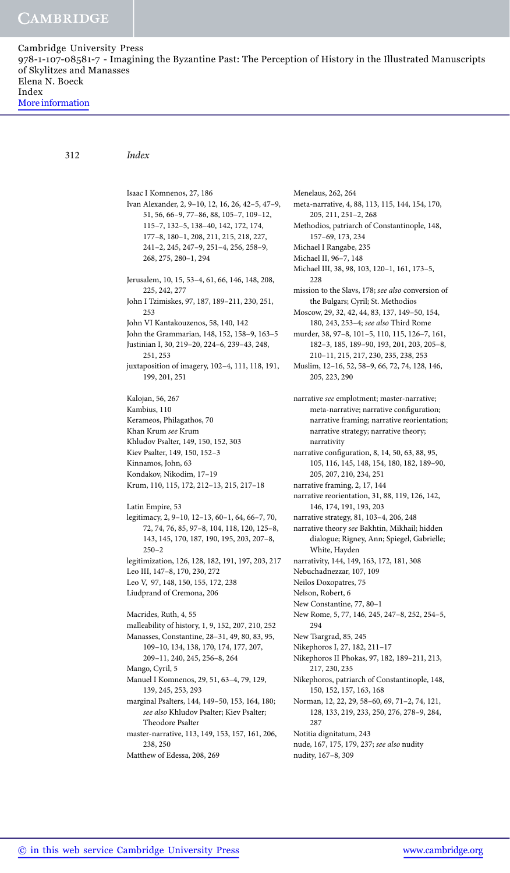312 *Index*

Isaac I Komnenos, 27, 186 Ivan Alexander, 2, 9–10, 12, 16, 26, 42–5, 47–9, 51, 56, 66–9, 77–86, 88, 105–7, 109–12, 115–7, 132–5, 138–40, 142, 172, 174, 177–8, 180–1, 208, 211, 215, 218, 227, 241–2, 245, 247–9, 251–4, 256, 258–9, 268, 275, 280–1, 294 Jerusalem, 10, 15, 53–4, 61, 66, 146, 148, 208, 225, 242, 277 John I Tzimiskes, 97, 187, 189–211, 230, 251, 253 John VI Kantakouzenos, 58, 140, 142 John the Grammarian, 148, 152, 158–9, 163–5 Justinian I, 30, 219–20, 224–6, 239–43, 248, 251, 253 juxtaposition of imagery, 102–4, 111, 118, 191, 199, 201, 251 Kalojan, 56, 267 Kambius, 110 Kerameos, Philagathos, 70 Khan Krum *see* Krum Khludov Psalter, 149, 150, 152, 303 Kiev Psalter, 149, 150, 152–3 Kinnamos, John, 63 Kondakov, Nikodim, 17–19 Krum, 110, 115, 172, 212–13, 215, 217–18 Latin Empire, 53 legitimacy, 2, 9–10, 12–13, 60–1, 64, 66–7, 70, 72, 74, 76, 85, 97–8, 104, 118, 120, 125–8, 143, 145, 170, 187, 190, 195, 203, 207–8,  $250 - 2$ legitimization, 126, 128, 182, 191, 197, 203, 217 Leo III, 147–8, 170, 230, 272 Leo V, 97, 148, 150, 155, 172, 238 Liudprand of Cremona, 206 Macrides, Ruth, 4, 55 malleability of history, 1, 9, 152, 207, 210, 252 Manasses, Constantine, 28–31, 49, 80, 83, 95, 109–10, 134, 138, 170, 174, 177, 207, 209–11, 240, 245, 256–8, 264 Mango, Cyril, 5 Manuel I Komnenos, 29, 51, 63–4, 79, 129, 139, 245, 253, 293 marginal Psalters, 144, 149–50, 153, 164, 180; *see also* Khludov Psalter; Kiev Psalter; Theodore Psalter master-narrative, 113, 149, 153, 157, 161, 206, 238, 250 Matthew of Edessa, 208, 269

Menelaus, 262, 264 meta-narrative, 4, 88, 113, 115, 144, 154, 170, 205, 211, 251–2, 268 Methodios, patriarch of Constantinople, 148, 157–69, 173, 234 Michael I Rangabe, 235 Michael II, 96–7, 148 Michael III, 38, 98, 103, 120–1, 161, 173–5, 228 mission to the Slavs, 178; *see also* conversion of the Bulgars; Cyril; St. Methodios Moscow, 29, 32, 42, 44, 83, 137, 149–50, 154, 180, 243, 253–4; *see also* Third Rome murder, 38, 97–8, 101–5, 110, 115, 126–7, 161, 182–3, 185, 189–90, 193, 201, 203, 205–8, 210–11, 215, 217, 230, 235, 238, 253 Muslim, 12–16, 52, 58–9, 66, 72, 74, 128, 146, 205, 223, 290 narrative *see* emplotment; master-narrative; meta-narrative; narrative configuration; narrative framing; narrative reorientation; narrative strategy; narrative theory; narrativity narrative configuration, 8, 14, 50, 63, 88, 95, 105, 116, 145, 148, 154, 180, 182, 189–90, 205, 207, 210, 234, 251 narrative framing, 2, 17, 144 narrative reorientation, 31, 88, 119, 126, 142, 146, 174, 191, 193, 203 narrative strategy, 81, 103–4, 206, 248 narrative theory *see* Bakhtin, Mikhail; hidden dialogue; Rigney, Ann; Spiegel, Gabrielle; White, Hayden narrativity, 144, 149, 163, 172, 181, 308 Nebuchadnezzar, 107, 109 Neilos Doxopatres, 75 Nelson, Robert, 6 New Constantine, 77, 80–1 New Rome, 5, 77, 146, 245, 247–8, 252, 254–5, 294 New Tsargrad, 85, 245 Nikephoros I, 27, 182, 211–17 Nikephoros II Phokas, 97, 182, 189–211, 213, 217, 230, 235 Nikephoros, patriarch of Constantinople, 148, 150, 152, 157, 163, 168 Norman, 12, 22, 29, 58–60, 69, 71–2, 74, 121, 128, 133, 219, 233, 250, 276, 278–9, 284, 287 Notitia dignitatum, 243 nude, 167, 175, 179, 237; *see also* nudity nudity, 167–8, 309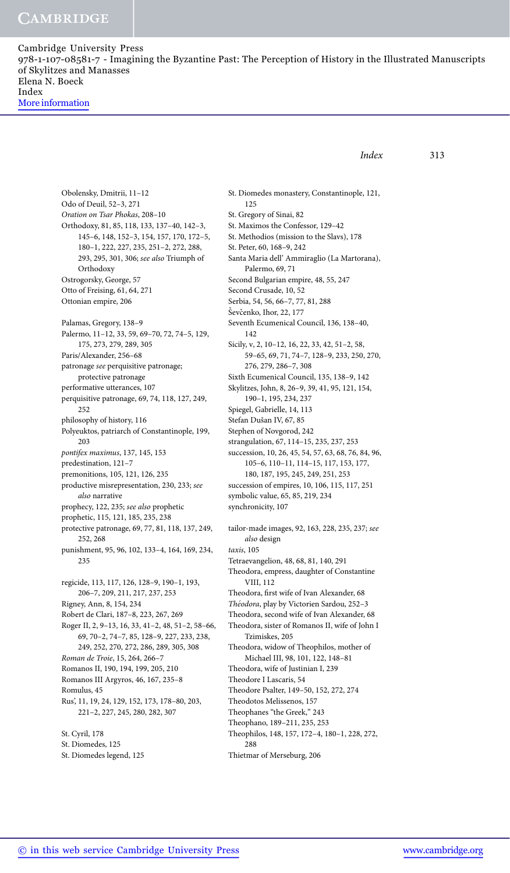```
Index 313
```
Obolensky, Dmitrii, 11–12 Odo of Deuil, 52–3, 271 *Oration on Tsar Phokas*, 208–10 Orthodoxy, 81, 85, 118, 133, 137–40, 142–3, 145–6, 148, 152–3, 154, 157, 170, 172–5, 180–1, 222, 227, 235, 251–2, 272, 288, 293, 295, 301, 306; *see also* Triumph of Orthodoxy Ostrogorsky, George, 57 Otto of Freising, 61, 64, 271 Ottonian empire, 206 Palamas, Gregory, 138–9 Palermo, 11–12, 33, 59, 69–70, 72, 74–5, 129, 175, 273, 279, 289, 305 Paris/Alexander, 256–68 patronage *see* perquisitive patronage; protective patronage performative utterances, 107 perquisitive patronage, 69, 74, 118, 127, 249, 252 philosophy of history, 116 Polyeuktos, patriarch of Constantinople, 199, 203 *pontifex maximus*, 137, 145, 153 predestination, 121–7 premonitions, 105, 121, 126, 235 productive misrepresentation, 230, 233; *see also* narrative prophecy, 122, 235; *see also* prophetic prophetic, 115, 121, 185, 235, 238 protective patronage, 69, 77, 81, 118, 137, 249, 252, 268 punishment, 95, 96, 102, 133–4, 164, 169, 234, 235 regicide, 113, 117, 126, 128–9, 190–1, 193, 206–7, 209, 211, 217, 237, 253 Rigney, Ann, 8, 154, 234 Robert de Clari, 187–8, 223, 267, 269 Roger II, 2, 9–13, 16, 33, 41–2, 48, 51–2, 58–66, 69, 70–2, 74–7, 85, 128–9, 227, 233, 238, 249, 252, 270, 272, 286, 289, 305, 308 *Roman de Troie*, 15, 264, 266–7 Romanos II, 190, 194, 199, 205, 210 Romanos III Argyros, 46, 167, 235–8 Romulus, 45 Rus', 11, 19, 24, 129, 152, 173, 178–80, 203, 221–2, 227, 245, 280, 282, 307 St. Cyril, 178 St. Diomedes, 125 St. Diomedes legend, 125

St. Diomedes monastery, Constantinople, 121, 125 St. Gregory of Sinai, 82 St. Maximos the Confessor, 129–42 St. Methodios (mission to the Slavs), 178 St. Peter, 60, 168–9, 242 Santa Maria dell' Ammiraglio (La Martorana), Palermo, 69, 71 Second Bulgarian empire, 48, 55, 247 Second Crusade, 10, 52 Serbia, 54, 56, 66–7, 77, 81, 288 Ševčenko, Ihor, 22, 177 Seventh Ecumenical Council, 136, 138–40, 142 Sicily, v, 2, 10–12, 16, 22, 33, 42, 51–2, 58, 59–65, 69, 71, 74–7, 128–9, 233, 250, 270, 276, 279, 286–7, 308 Sixth Ecumenical Council, 135, 138–9, 142 Skylitzes, John, 8, 26–9, 39, 41, 95, 121, 154, 190–1, 195, 234, 237 Spiegel, Gabrielle, 14, 113 Stefan Dušan IV, 67, 85 Stephen of Novgorod, 242 strangulation, 67, 114–15, 235, 237, 253 succession, 10, 26, 45, 54, 57, 63, 68, 76, 84, 96, 105–6, 110–11, 114–15, 117, 153, 177, 180, 187, 195, 245, 249, 251, 253 succession of empires, 10, 106, 115, 117, 251 symbolic value, 65, 85, 219, 234 synchronicity, 107 tailor-made images, 92, 163, 228, 235, 237; *see also* design *taxis*, 105 Tetraevangelion, 48, 68, 81, 140, 291 Theodora, empress, daughter of Constantine VIII, 112 Theodora, first wife of Ivan Alexander, 68 Théodora, play by Victorien Sardou, 252-3 Theodora, second wife of Ivan Alexander, 68 Theodora, sister of Romanos II, wife of John I Tzimiskes, 205 Theodora, widow of Theophilos, mother of Michael III, 98, 101, 122, 148–81 Theodora, wife of Justinian I, 239 Theodore I Lascaris, 54 Theodore Psalter, 149–50, 152, 272, 274 Theodotos Melissenos, 157 Theophanes "the Greek," 243 Theophano, 189–211, 235, 253 Theophilos, 148, 157, 172–4, 180–1, 228, 272, 288 Thietmar of Merseburg, 206